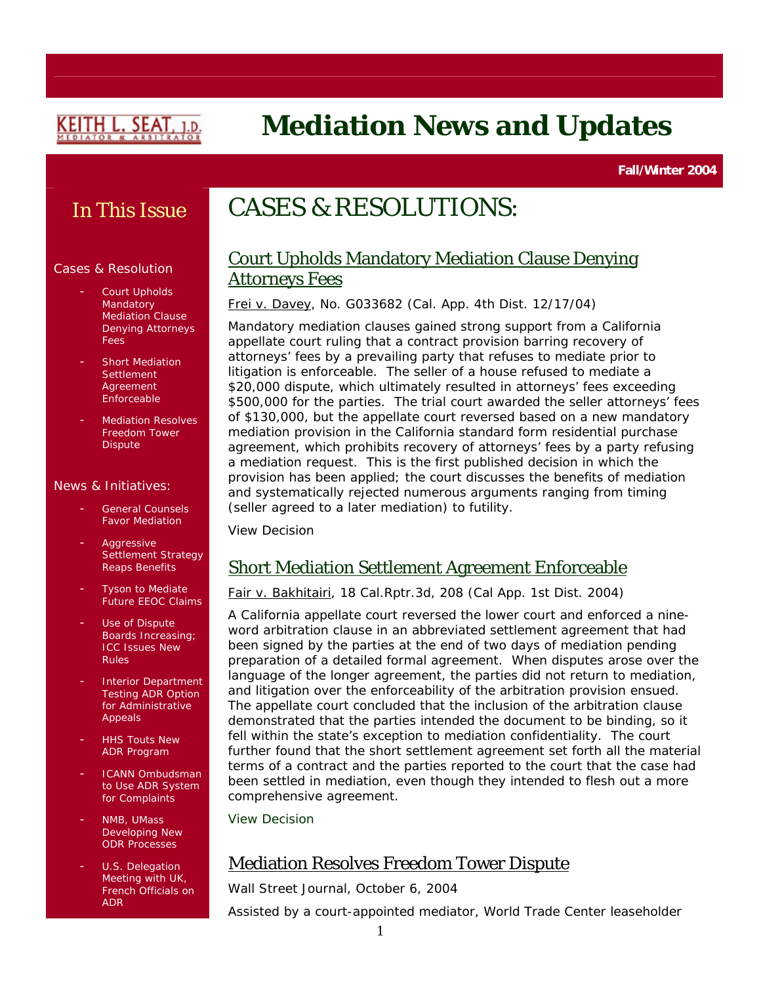

# **Mediation News and Updates**

**Fall/Winter 2004** 

### In This Issue

#### Cases & Resolution

- Court Upholds Mandatory Mediation Clause Denying Attorneys Fees
- Short Mediation **[Settlement](http://login.findlaw.com/scripts/callaw?dest=ca/caapp4th/slip/2004/a100240.html) Agreement** [Enforceable](http://login.findlaw.com/scripts/callaw?dest=ca/caapp4th/slip/2004/a100240.html)
- **Mediation Resolves** [Freedom Tower](http://online.wsj.com/article/0,,BT_CO_20041006_004660,00.html)  **[Dispute](http://online.wsj.com/article/0,,BT_CO_20041006_004660,00.html)**

#### News & Initiatives:

- [General Counsels](http://www.fulbright.com/index.cfm?fuseaction=correspondence.formfindings) [Favor Mediation](http://www.fulbright.com/index.cfm?fuseaction=correspondence.formfindings)
- **Aggressive** Settlement Strategy [Reaps Benefits](http://www.law.com/jsp/article.jsp?id=1095434457836)
- Tyson to Mediate [Future EEOC Claims](http://online.wsj.com/PA2VJBNA4R/snippet/0,,BT_CO_20040915_005710-search,00.html)
- Use of Dispute [Boards Increasing;](http://www.mondaq.com/article_preview.asp?a=29871&e=on)  [ICC Issues New](http://www.mondaq.com/article_preview.asp?a=29871&e=on)  [Rules](http://www.mondaq.com/article_preview.asp?a=29871&e=on)
- Interior Department Testing ADR Option for Administrative Appeals
- **HHS Touts New** ADR Program
- ICANN Ombudsman to Use ADR System for Complaints
- NMB, UMass Developing New ODR Processes
- U.S. Delegation Meeting with UK, French Officials on ADR

## CASES & RESOLUTIONS:

### Court Upholds Mandatory Mediation Clause Denying Attorneys Fees

Frei v. Davey, No. G033682 (Cal. App. 4th Dist. 12/17/04)

Mandatory mediation clauses gained strong support from a California appellate court ruling that a contract provision barring recovery of attorneys' fees by a prevailing party that refuses to mediate prior to litigation is enforceable. The seller of a house refused to mediate a \$20,000 dispute, which ultimately resulted in attorneys' fees exceeding \$500,000 for the parties. The trial court awarded the seller attorneys' fees of \$130,000, but the appellate court reversed based on a new mandatory mediation provision in the California standard form residential purchase agreement, which prohibits recovery of attorneys' fees by a party refusing a mediation request. This is the first published decision in which the provision has been applied; the court discusses the benefits of mediation and systematically rejected numerous arguments ranging from timing (seller agreed to a later mediation) to futility.

[View Decision](http://caselaw.lp.findlaw.com/data2/californiastatecases/g033682.doc)

### Short Mediation Settlement Agreement Enforceable

Fair v. Bakhitairi, 18 Cal.Rptr.3d, 208 (Cal App. 1st Dist. 2004)

A California appellate court reversed the lower court and enforced a nineword arbitration clause in an abbreviated settlement agreement that had been signed by the parties at the end of two days of mediation pending preparation of a detailed formal agreement. When disputes arose over the language of the longer agreement, the parties did not return to mediation, and litigation over the enforceability of the arbitration provision ensued. The appellate court concluded that the inclusion of the arbitration clause demonstrated that the parties intended the document to be binding, so it fell within the state's exception to mediation confidentiality. The court further found that the short settlement agreement set forth all the material terms of a contract and the parties reported to the court that the case had been settled in mediation, even though they intended to flesh out a more comprehensive agreement.

[View Decision](http://login.findlaw.com/scripts/callaw?dest=ca/caapp4th/slip/2004/a100240.html)

### Mediation Resolves Freedom Tower Dispute

*Wall Street Journal*, October 6, 2004

Assisted by a court-appointed mediator, World Trade Center leaseholder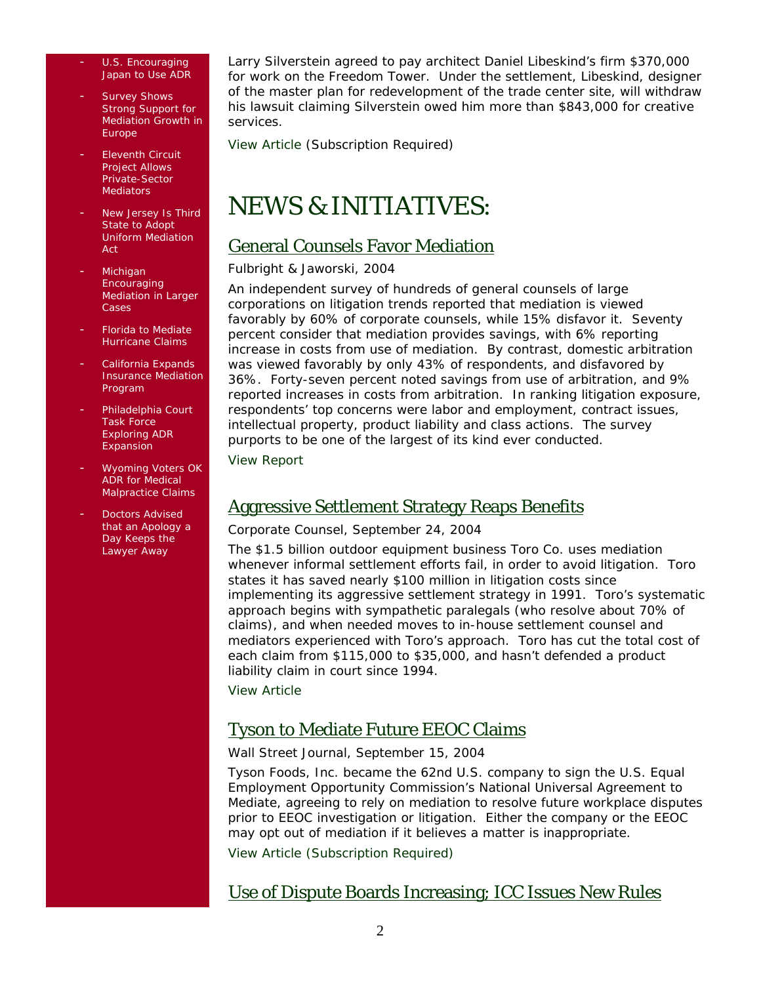- U.S. Encouraging Japan to Use ADR
- Survey Shows Strong Support for Mediation Growth in **Europe**
- **Eleventh Circuit** Project Allows Private-Sector **Mediators**
- New Jersey Is Third State to Adopt Uniform Mediation Act
- **Michigan Encouraging** Mediation in Larger Cases
- Florida to Mediate Hurricane Claims
- California Expands Insurance Mediation Program
- Philadelphia Court Task Force Exploring ADR Expansion
- Wyoming Voters OK ADR for Medical Malpractice Claims
- Doctors Advised that an Apology a Day Keeps the Lawyer Away

Larry Silverstein agreed to pay architect Daniel Libeskind's firm \$370,000 for work on the Freedom Tower. Under the settlement, Libeskind, designer of the master plan for redevelopment of the trade center site, will withdraw his lawsuit claiming Silverstein owed him more than \$843,000 for creative services.

[View Article](http://online.wsj.com/article/0,,BT_CO_20041006_004660,00.html) (Subscription Required)

## NEWS & INITIATIVES:

### General Counsels Favor Mediation

#### Fulbright & Jaworski, 2004

An independent survey of hundreds of general counsels of large corporations on litigation trends reported that mediation is viewed favorably by 60% of corporate counsels, while 15% disfavor it. Seventy percent consider that mediation provides savings, with 6% reporting increase in costs from use of mediation. By contrast, domestic arbitration was viewed favorably by only 43% of respondents, and disfavored by 36%. Forty-seven percent noted savings from use of arbitration, and 9% reported increases in costs from arbitration. In ranking litigation exposure, respondents' top concerns were labor and employment, contract issues, intellectual property, product liability and class actions. The survey purports to be one of the largest of its kind ever conducted.

[View Report](http://www.fulbright.com/index.cfm?fuseaction=correspondence.formfindings)

### Aggressive Settlement Strategy Reaps Benefits

#### *Corporate Counsel*, September 24, 2004

The \$1.5 billion outdoor equipment business Toro Co. uses mediation whenever informal settlement efforts fail, in order to avoid litigation. Toro states it has saved nearly \$100 million in litigation costs since implementing its aggressive settlement strategy in 1991. Toro's systematic approach begins with sympathetic paralegals (who resolve about 70% of claims), and when needed moves to in-house settlement counsel and mediators experienced with Toro's approach. Toro has cut the total cost of each claim from \$115,000 to \$35,000, and hasn't defended a product liability claim in court since 1994.

[View Article](http://www.law.com/jsp/article.jsp?id=1095434457836)

### Tyson to Mediate Future EEOC Claims

#### *Wall Street Journal,* September 15, 2004

Tyson Foods, Inc. became the 62nd U.S. company to sign the U.S. Equal Employment Opportunity Commission's National Universal Agreement to Mediate, agreeing to rely on mediation to resolve future workplace disputes prior to EEOC investigation or litigation. Either the company or the EEOC may opt out of mediation if it believes a matter is inappropriate.

[View Article \(Subscription Required\)](http://online.wsj.com/PA2VJBNA4R/snippet/0,,BT_CO_20040915_005710-search,00.html)

### Use of Dispute Boards Increasing; ICC Issues New Rules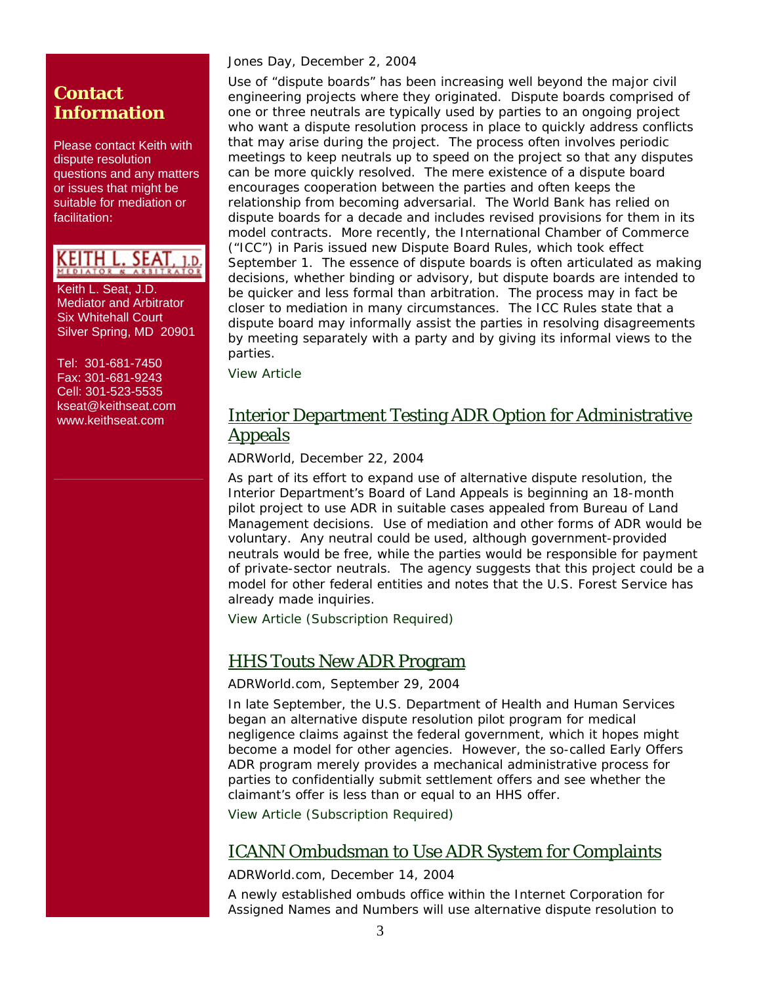### **Contact Information**

Please contact Keith with dispute resolution questions and any matters or issues that might be suitable for mediation or facilitation:

KEITH L. SEAT, 1.D.

 Keith L. Seat, J.D. Mediator and Arbitrator Six Whitehall Court Silver Spring, MD 20901

 Tel: 301-681-7450 Fax: 301-681-9243 Cell: 301-523-5535 [kseat@keithseat.com](mailto:kseat@keithseat.com) [www.keithseat.com](http://www.keithseat.com/)

#### *Jones Day,* December 2, 2004

Use of "dispute boards" has been increasing well beyond the major civil engineering projects where they originated. Dispute boards comprised of one or three neutrals are typically used by parties to an ongoing project who want a dispute resolution process in place to quickly address conflicts that may arise during the project. The process often involves periodic meetings to keep neutrals up to speed on the project so that any disputes can be more quickly resolved. The mere existence of a dispute board encourages cooperation between the parties and often keeps the relationship from becoming adversarial. The World Bank has relied on dispute boards for a decade and includes revised provisions for them in its model contracts. More recently, the International Chamber of Commerce ("ICC") in Paris issued new Dispute Board Rules, which took effect September 1. The essence of dispute boards is often articulated as making decisions, whether binding or advisory, but dispute boards are intended to be quicker and less formal than arbitration. The process may in fact be closer to mediation in many circumstances. The ICC Rules state that a dispute board may informally assist the parties in resolving disagreements by meeting separately with a party and by giving its informal views to the parties.

[View Article](http://www.mondaq.com/article.asp?articleid=29871&email_access=on) 

### Interior Department Testing ADR Option for Administrative Appeals

*ADRWorld,* December 22, 2004

As part of its effort to expand use of alternative dispute resolution, the Interior Department's Board of Land Appeals is beginning an 18-month pilot project to use ADR in suitable cases appealed from Bureau of Land Management decisions. Use of mediation and other forms of ADR would be voluntary. Any neutral could be used, although government-provided neutrals would be free, while the parties would be responsible for payment of private-sector neutrals. The agency suggests that this project could be a model for other federal entities and notes that the U.S. Forest Service has already made inquiries.

[View Article \(Subscription Required\)](http://www.adrworld.com/opendocument.asp?Doc=PoJoxvOLmu%20(subscription%20required))

### HHS Touts New ADR Program

*ADRWorld.com*, September 29, 2004

In late September, the U.S. Department of Health and Human Services began an alternative dispute resolution pilot program for medical negligence claims against the federal government, which it hopes might become a model for other agencies. However, the so-called Early Offers ADR program merely provides a mechanical administrative process for parties to confidentially submit settlement offers and see whether the claimant's offer is less than or equal to an HHS offer.

[View Article \(Subscription Required\)](http://www.adrworld.com/opendocument.asp?Doc=nSYCtWskoK)

### ICANN Ombudsman to Use ADR System for Complaints

*ADRWorld.com*, December 14, 2004

A newly established ombuds office within the Internet Corporation for Assigned Names and Numbers will use alternative dispute resolution to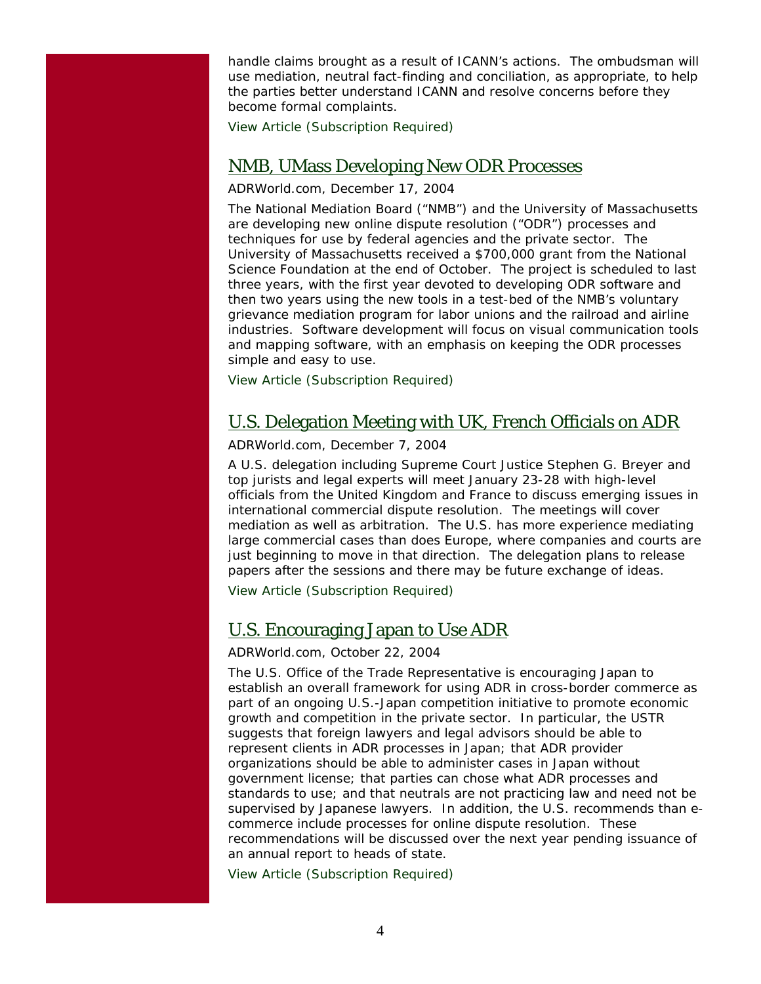handle claims brought as a result of ICANN's actions. The ombudsman will use mediation, neutral fact-finding and conciliation, as appropriate, to help the parties better understand ICANN and resolve concerns before they become formal complaints.

[View Article \(Subscription Required\)](http://www.adrworld.com/opendocument.asp?Doc=vKFOzVjOfU)

### NMB, UMass Developing New ODR Processes

#### *ADRWorld.com*, December 17, 2004

The National Mediation Board ("NMB") and the University of Massachusetts are developing new online dispute resolution ("ODR") processes and techniques for use by federal agencies and the private sector. The University of Massachusetts received a \$700,000 grant from the National Science Foundation at the end of October. The project is scheduled to last three years, with the first year devoted to developing ODR software and then two years using the new tools in a test-bed of the NMB's voluntary grievance mediation program for labor unions and the railroad and airline industries. Software development will focus on visual communication tools and mapping software, with an emphasis on keeping the ODR processes simple and easy to use.

[View Article \(Subscription Required\)](http://www.adrworld.com/opendocument.asp)

### U.S. Delegation Meeting with UK, French Officials on ADR

#### *ADRWorld.com*, December 7, 2004

A U.S. delegation including Supreme Court Justice Stephen G. Breyer and top jurists and legal experts will meet January 23-28 with high-level officials from the United Kingdom and France to discuss emerging issues in international commercial dispute resolution. The meetings will cover mediation as well as arbitration. The U.S. has more experience mediating large commercial cases than does Europe, where companies and courts are just beginning to move in that direction. The delegation plans to release papers after the sessions and there may be future exchange of ideas.

[View Article \(Subscription Required\)](http://www.adrworld.com/opendocument.asp?Doc=bkEGPfzb1v&code=xeht4ORR)

### U.S. Encouraging Japan to Use ADR

#### *ADRWorld.com*, October 22, 2004

The U.S. Office of the Trade Representative is encouraging Japan to establish an overall framework for using ADR in cross-border commerce as part of an ongoing U.S.-Japan competition initiative to promote economic growth and competition in the private sector. In particular, the USTR suggests that foreign lawyers and legal advisors should be able to represent clients in ADR processes in Japan; that ADR provider organizations should be able to administer cases in Japan without government license; that parties can chose what ADR processes and standards to use; and that neutrals are not practicing law and need not be supervised by Japanese lawyers. In addition, the U.S. recommends than ecommerce include processes for online dispute resolution. These recommendations will be discussed over the next year pending issuance of an annual report to heads of state.

[View Article \(Subscription Required\)](http://www.adrworld.com/opendocument.asp?Doc=zsHRoTH8b0)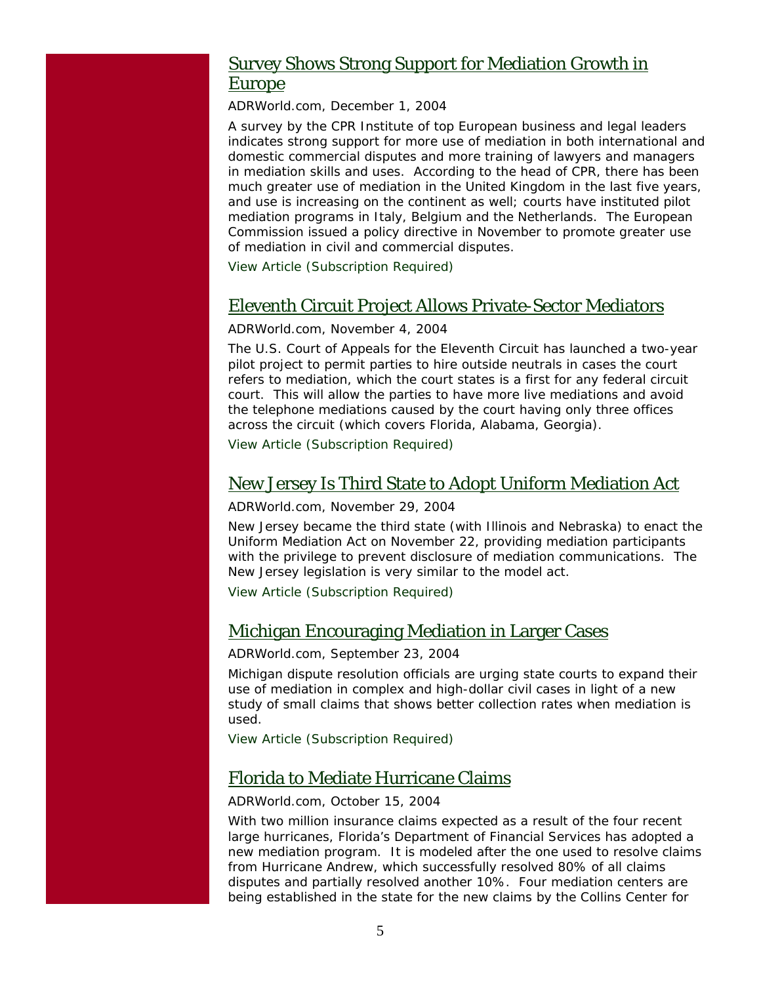### Survey Shows Strong Support for Mediation Growth in Europe

*ADRWorld.com*, December 1, 2004

A survey by the CPR Institute of top European business and legal leaders indicates strong support for more use of mediation in both international and domestic commercial disputes and more training of lawyers and managers in mediation skills and uses. According to the head of CPR, there has been much greater use of mediation in the United Kingdom in the last five years, and use is increasing on the continent as well; courts have instituted pilot mediation programs in Italy, Belgium and the Netherlands. The European Commission issued a policy directive in November to promote greater use of mediation in civil and commercial disputes.

[View Article \(Subscription Required\)](http://www.adrworld.com/opendocument.asp?Doc=lbTLZ29HjU&code=xeht4ORR)

### Eleventh Circuit Project Allows Private-Sector Mediators

#### *ADRWorld.com*, November 4, 2004

The U.S. Court of Appeals for the Eleventh Circuit has launched a two-year pilot project to permit parties to hire outside neutrals in cases the court refers to mediation, which the court states is a first for any federal circuit court. This will allow the parties to have more live mediations and avoid the telephone mediations caused by the court having only three offices across the circuit (which covers Florida, Alabama, Georgia).

[View Article \(Subscription Required\)](http://www.adrworld.com/opendocument.asp?Doc=9XhFbxWJdr&code=xeht4ORR)

### New Jersey Is Third State to Adopt Uniform Mediation Act

#### *ADRWorld.com*, November 29, 2004

New Jersey became the third state (with Illinois and Nebraska) to enact the Uniform Mediation Act on November 22, providing mediation participants with the privilege to prevent disclosure of mediation communications. The New Jersey legislation is very similar to the model act.

[View Article \(Subscription Required\)](http://www.adrworld.com/opendocument.asp?Doc=0J7ZASuzat&code=xeht4ORR)

### Michigan Encouraging Mediation in Larger Cases

#### *ADRWorld.com*, September 23, 2004

Michigan dispute resolution officials are urging state courts to expand their use of mediation in complex and high-dollar civil cases in light of a new study of small claims that shows better collection rates when mediation is used.

[View Article \(Subscription Required\)](http://www.adrworld.com/opendocument.asp?Doc=sUA7PJ1LNH)

### Florida to Mediate Hurricane Claims

#### *ADRWorld.com*, October 15, 2004

With two million insurance claims expected as a result of the four recent large hurricanes, Florida's Department of Financial Services has adopted a new mediation program. It is modeled after the one used to resolve claims from Hurricane Andrew, which successfully resolved 80% of all claims disputes and partially resolved another 10%. Four mediation centers are being established in the state for the new claims by the Collins Center for